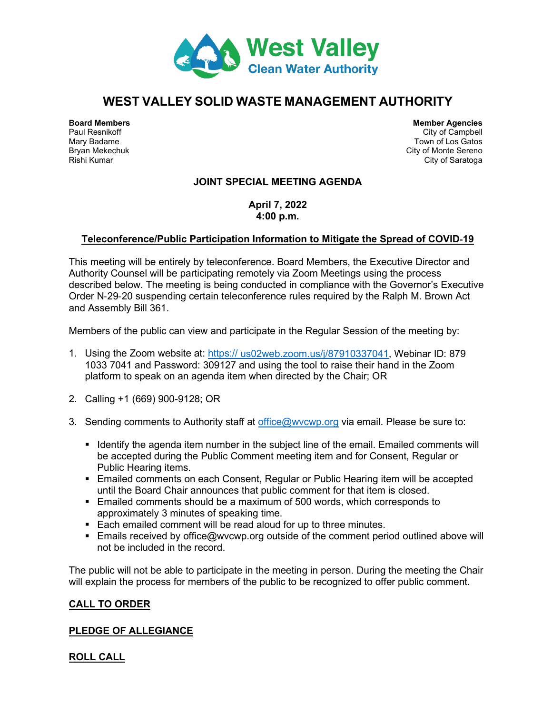

# **WEST VALLEY SOLID WASTE MANAGEMENT AUTHORITY**

**Board Members Members (2008)**<br> **Board Members Members (2008)**<br>
City of Campbell City of Campbell Mary Badame Town of Los Gatos Bryan Mekechuk City of Monte Sereno (Bryan Mekechuk City of Monte Sereno (City of Monte Sereno (City of Saratoq<br>Rishi Kumar City of Saratoga

# **JOINT SPECIAL MEETING AGENDA**

**April 7, 2022 4:00 p.m.**

#### **Teleconference/Public Participation Information to Mitigate the Spread of COVID**‐**19**

This meeting will be entirely by teleconference. Board Members, the Executive Director and Authority Counsel will be participating remotely via Zoom Meetings using the process described below. The meeting is being conducted in compliance with the Governor's Executive Order N‐29‐20 suspending certain teleconference rules required by the Ralph M. Brown Act and Assembly Bill 361.

Members of the public can view and participate in the Regular Session of the meeting by:

- 1. Using the Zoom website at: https:// [us02web.zoom.us/j/87910337041,](https://us02web.zoom.us/j/87910337041?pwd=ZCsyTWRXYjFyTU04TWZvSkhOU0VhUT09) Webinar ID: 879 1033 7041 and Password: 309127 and using the tool to raise their hand in the Zoom platform to speak on an agenda item when directed by the Chair; OR
- 2. Calling +1 (669) 900-9128; OR
- 3. Sending comments to Authority staff at [office@wvcwp.org](mailto:office@wvcwp.org) via email. Please be sure to:
	- I dentify the agenda item number in the subject line of the email. Emailed comments will be accepted during the Public Comment meeting item and for Consent, Regular or Public Hearing items.
	- Emailed comments on each Consent, Regular or Public Hearing item will be accepted until the Board Chair announces that public comment for that item is closed.
	- Emailed comments should be a maximum of 500 words, which corresponds to approximately 3 minutes of speaking time.
	- Each emailed comment will be read aloud for up to three minutes.
	- **Emails received by office@wvcwp.org outside of the comment period outlined above will** not be included in the record.

The public will not be able to participate in the meeting in person. During the meeting the Chair will explain the process for members of the public to be recognized to offer public comment.

# **CALL TO ORDER**

# **PLEDGE OF ALLEGIANCE**

# **ROLL CALL**